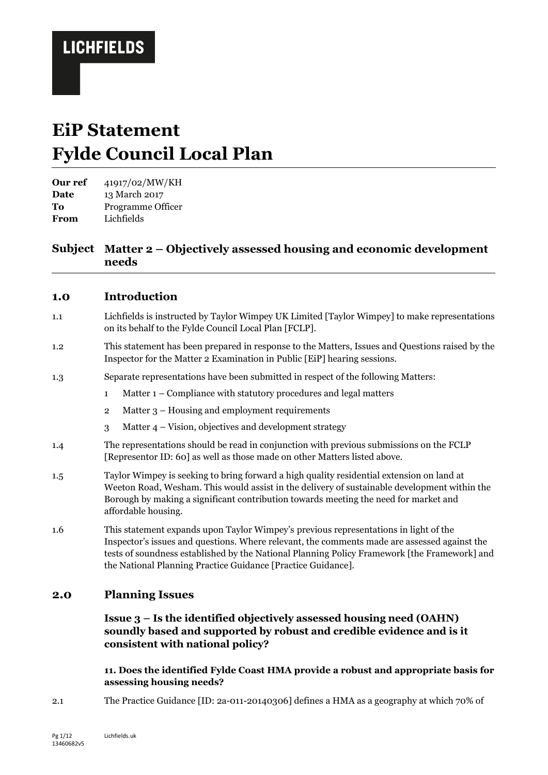# **EiP Statement Fylde Council Local Plan**

**Our ref** 41917/02/MW/KH **Date** 13 March 2017 **To** Programme Officer **From** Lichfields

## **Subject Matter 2 – Objectively assessed housing and economic development needs**

## **1.0 Introduction**

- 1.1 Lichfields is instructed by Taylor Wimpey UK Limited [Taylor Wimpey] to make representations on its behalf to the Fylde Council Local Plan [FCLP].
- 1.2 This statement has been prepared in response to the Matters, Issues and Questions raised by the Inspector for the Matter 2 Examination in Public [EiP] hearing sessions.
- 1.3 Separate representations have been submitted in respect of the following Matters:
	- 1 Matter 1 Compliance with statutory procedures and legal matters
	- 2 Matter 3 Housing and employment requirements
	- 3 Matter 4 Vision, objectives and development strategy
- 1.4 The representations should be read in conjunction with previous submissions on the FCLP [Representor ID: 60] as well as those made on other Matters listed above.
- 1.5 Taylor Wimpey is seeking to bring forward a high quality residential extension on land at Weeton Road, Wesham. This would assist in the delivery of sustainable development within the Borough by making a significant contribution towards meeting the need for market and affordable housing.
- 1.6 This statement expands upon Taylor Wimpey's previous representations in light of the Inspector's issues and questions. Where relevant, the comments made are assessed against the tests of soundness established by the National Planning Policy Framework [the Framework] and the National Planning Practice Guidance [Practice Guidance].

## **2.0 Planning Issues**

**Issue 3 – Is the identified objectively assessed housing need (OAHN) soundly based and supported by robust and credible evidence and is it consistent with national policy?**

### **11. Does the identified Fylde Coast HMA provide a robust and appropriate basis for assessing housing needs?**

2.1 The Practice Guidance [ID: 2a-011-20140306] defines a HMA as a geography at which 70% of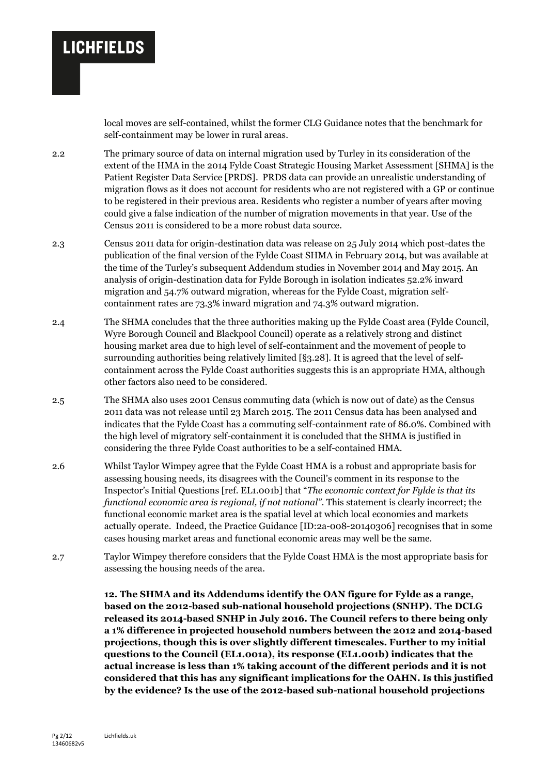local moves are self-contained, whilst the former CLG Guidance notes that the benchmark for self-containment may be lower in rural areas.

2.2 The primary source of data on internal migration used by Turley in its consideration of the extent of the HMA in the 2014 Fylde Coast Strategic Housing Market Assessment [SHMA] is the Patient Register Data Service [PRDS]. PRDS data can provide an unrealistic understanding of migration flows as it does not account for residents who are not registered with a GP or continue to be registered in their previous area. Residents who register a number of years after moving could give a false indication of the number of migration movements in that year. Use of the Census 2011 is considered to be a more robust data source.

2.3 Census 2011 data for origin-destination data was release on 25 July 2014 which post-dates the publication of the final version of the Fylde Coast SHMA in February 2014, but was available at the time of the Turley's subsequent Addendum studies in November 2014 and May 2015. An analysis of origin-destination data for Fylde Borough in isolation indicates 52.2% inward migration and 54.7% outward migration, whereas for the Fylde Coast, migration selfcontainment rates are 73.3% inward migration and 74.3% outward migration.

- 2.4 The SHMA concludes that the three authorities making up the Fylde Coast area (Fylde Council, Wyre Borough Council and Blackpool Council) operate as a relatively strong and distinct housing market area due to high level of self-containment and the movement of people to surrounding authorities being relatively limited [§3.28]. It is agreed that the level of selfcontainment across the Fylde Coast authorities suggests this is an appropriate HMA, although other factors also need to be considered.
- 2.5 The SHMA also uses 2001 Census commuting data (which is now out of date) as the Census 2011 data was not release until 23 March 2015. The 2011 Census data has been analysed and indicates that the Fylde Coast has a commuting self-containment rate of 86.0%. Combined with the high level of migratory self-containment it is concluded that the SHMA is justified in considering the three Fylde Coast authorities to be a self-contained HMA.
- 2.6 Whilst Taylor Wimpey agree that the Fylde Coast HMA is a robust and appropriate basis for assessing housing needs, its disagrees with the Council's comment in its response to the Inspector's Initial Questions [ref. EL1.001b] that "*The economic context for Fylde is that its functional economic area is regional, if not national".* This statement is clearly incorrect; the functional economic market area is the spatial level at which local economies and markets actually operate. Indeed, the Practice Guidance [ID:2a-008-20140306] recognises that in some cases housing market areas and functional economic areas may well be the same.
- 2.7 Taylor Wimpey therefore considers that the Fylde Coast HMA is the most appropriate basis for assessing the housing needs of the area.

**12. The SHMA and its Addendums identify the OAN figure for Fylde as a range, based on the 2012-based sub-national household projections (SNHP). The DCLG released its 2014-based SNHP in July 2016. The Council refers to there being only a 1% difference in projected household numbers between the 2012 and 2014-based projections, though this is over slightly different timescales. Further to my initial questions to the Council (EL1.001a), its response (EL1.001b) indicates that the actual increase is less than 1% taking account of the different periods and it is not considered that this has any significant implications for the OAHN. Is this justified by the evidence? Is the use of the 2012-based sub-national household projections**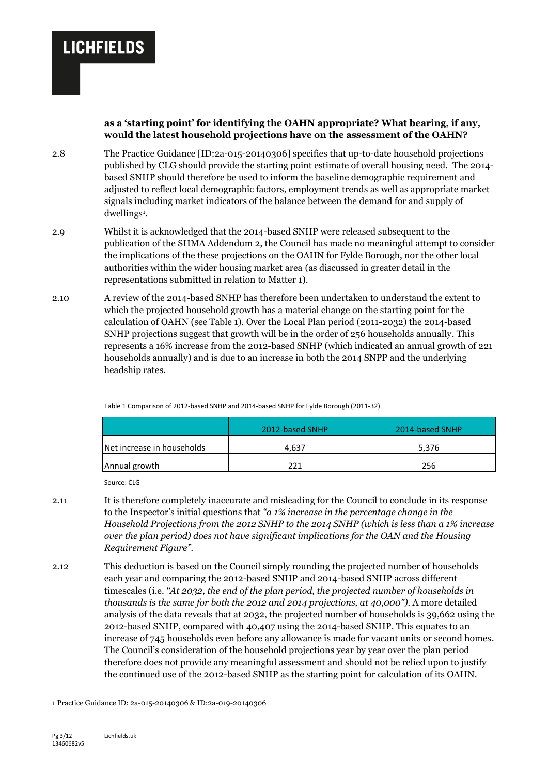#### **as a 'starting point' for identifying the OAHN appropriate? What bearing, if any, would the latest household projections have on the assessment of the OAHN?**

- 2.8 The Practice Guidance [ID:2a-015-20140306] specifies that up-to-date household projections published by CLG should provide the starting point estimate of overall housing need. The 2014 based SNHP should therefore be used to inform the baseline demographic requirement and adjusted to reflect local demographic factors, employment trends as well as appropriate market signals including market indicators of the balance between the demand for and supply of dwellings<sup>1</sup>.
- 2.9 Whilst it is acknowledged that the 2014-based SNHP were released subsequent to the publication of the SHMA Addendum 2, the Council has made no meaningful attempt to consider the implications of the these projections on the OAHN for Fylde Borough, nor the other local authorities within the wider housing market area (as discussed in greater detail in the representations submitted in relation to Matter 1).
- 2.10 A review of the 2014-based SNHP has therefore been undertaken to understand the extent to which the projected household growth has a material change on the starting point for the calculation of OAHN (see Table 1). Over the Local Plan period (2011-2032) the 2014-based SNHP projections suggest that growth will be in the order of 256 households annually. This represents a 16% increase from the 2012-based SNHP (which indicated an annual growth of 221 households annually) and is due to an increase in both the 2014 SNPP and the underlying headship rates.

|                            | 2012-based SNHP | 2014-based SNHP |  |  |  |  |
|----------------------------|-----------------|-----------------|--|--|--|--|
| Net increase in households | 4.637           | 5,376           |  |  |  |  |
| Annual growth              | 221             | 256             |  |  |  |  |

Table 1 Comparison of 2012-based SNHP and 2014-based SNHP for Fylde Borough (2011-32)

Source: CLG

- 2.11 It is therefore completely inaccurate and misleading for the Council to conclude in its response to the Inspector's initial questions that *"a 1% increase in the percentage change in the Household Projections from the 2012 SNHP to the 2014 SNHP (which is less than a 1% increase over the plan period) does not have significant implications for the OAN and the Housing Requirement Figure".*
- 2.12 This deduction is based on the Council simply rounding the projected number of households each year and comparing the 2012-based SNHP and 2014-based SNHP across different timescales (i.e. *"At 2032, the end of the plan period, the projected number of households in thousands is the same for both the 2012 and 2014 projections, at 40,000").* A more detailed analysis of the data reveals that at 2032, the projected number of households is 39,662 using the 2012-based SNHP, compared with 40,407 using the 2014-based SNHP. This equates to an increase of 745 households even before any allowance is made for vacant units or second homes. The Council's consideration of the household projections year by year over the plan period therefore does not provide any meaningful assessment and should not be relied upon to justify the continued use of the 2012-based SNHP as the starting point for calculation of its OAHN.

-

<sup>1</sup> Practice Guidance ID: 2a-015-20140306 & ID:2a-019-20140306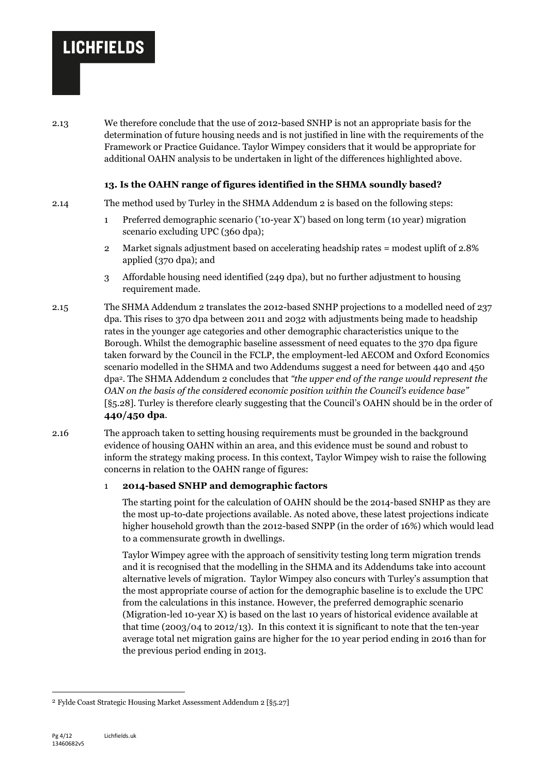2.13 We therefore conclude that the use of 2012-based SNHP is not an appropriate basis for the determination of future housing needs and is not justified in line with the requirements of the Framework or Practice Guidance. Taylor Wimpey considers that it would be appropriate for additional OAHN analysis to be undertaken in light of the differences highlighted above.

#### **13. Is the OAHN range of figures identified in the SHMA soundly based?**

2.14 The method used by Turley in the SHMA Addendum 2 is based on the following steps:

- 1 Preferred demographic scenario ('10-year X') based on long term (10 year) migration scenario excluding UPC (360 dpa);
- 2 Market signals adjustment based on accelerating headship rates = modest uplift of 2.8% applied (370 dpa); and
- 3 Affordable housing need identified (249 dpa), but no further adjustment to housing requirement made.
- 2.15 The SHMA Addendum 2 translates the 2012-based SNHP projections to a modelled need of 237 dpa. This rises to 370 dpa between 2011 and 2032 with adjustments being made to headship rates in the younger age categories and other demographic characteristics unique to the Borough. Whilst the demographic baseline assessment of need equates to the 370 dpa figure taken forward by the Council in the FCLP, the employment-led AECOM and Oxford Economics scenario modelled in the SHMA and two Addendums suggest a need for between 440 and 450 dpa2. The SHMA Addendum 2 concludes that *"the upper end of the range would represent the OAN on the basis of the considered economic position within the Council's evidence base"* [§5.28]. Turley is therefore clearly suggesting that the Council's OAHN should be in the order of **440/450 dpa**.
- 2.16 The approach taken to setting housing requirements must be grounded in the background evidence of housing OAHN within an area, and this evidence must be sound and robust to inform the strategy making process. In this context, Taylor Wimpey wish to raise the following concerns in relation to the OAHN range of figures:

#### 1 **2014-based SNHP and demographic factors**

The starting point for the calculation of OAHN should be the 2014-based SNHP as they are the most up-to-date projections available. As noted above, these latest projections indicate higher household growth than the 2012-based SNPP (in the order of 16%) which would lead to a commensurate growth in dwellings.

Taylor Wimpey agree with the approach of sensitivity testing long term migration trends and it is recognised that the modelling in the SHMA and its Addendums take into account alternative levels of migration. Taylor Wimpey also concurs with Turley's assumption that the most appropriate course of action for the demographic baseline is to exclude the UPC from the calculations in this instance. However, the preferred demographic scenario (Migration-led 10-year X) is based on the last 10 years of historical evidence available at that time  $(2003/04 \text{ to } 2012/13)$ . In this context it is significant to note that the ten-year average total net migration gains are higher for the 10 year period ending in 2016 than for the previous period ending in 2013.

-

<sup>2</sup> Fylde Coast Strategic Housing Market Assessment Addendum 2 [§5.27]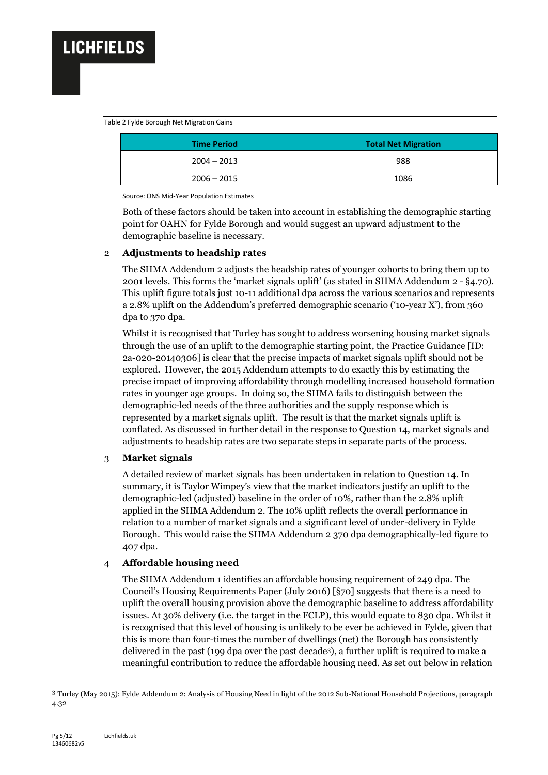#### Table 2 Fylde Borough Net Migration Gains

| <b>Time Period</b> | <b>Total Net Migration</b> |  |  |
|--------------------|----------------------------|--|--|
| $2004 - 2013$      | 988                        |  |  |
| $2006 - 2015$      | 1086                       |  |  |

Source: ONS Mid-Year Population Estimates

Both of these factors should be taken into account in establishing the demographic starting point for OAHN for Fylde Borough and would suggest an upward adjustment to the demographic baseline is necessary.

#### 2 **Adjustments to headship rates**

The SHMA Addendum 2 adjusts the headship rates of younger cohorts to bring them up to 2001 levels. This forms the 'market signals uplift' (as stated in SHMA Addendum 2 - §4.70). This uplift figure totals just 10-11 additional dpa across the various scenarios and represents a 2.8% uplift on the Addendum's preferred demographic scenario ('10-year X'), from 360 dpa to 370 dpa.

Whilst it is recognised that Turley has sought to address worsening housing market signals through the use of an uplift to the demographic starting point, the Practice Guidance [ID: 2a-020-20140306] is clear that the precise impacts of market signals uplift should not be explored. However, the 2015 Addendum attempts to do exactly this by estimating the precise impact of improving affordability through modelling increased household formation rates in younger age groups. In doing so, the SHMA fails to distinguish between the demographic-led needs of the three authorities and the supply response which is represented by a market signals uplift. The result is that the market signals uplift is conflated. As discussed in further detail in the response to Question 14, market signals and adjustments to headship rates are two separate steps in separate parts of the process.

## 3 **Market signals**

A detailed review of market signals has been undertaken in relation to Question 14. In summary, it is Taylor Wimpey's view that the market indicators justify an uplift to the demographic-led (adjusted) baseline in the order of 10%, rather than the 2.8% uplift applied in the SHMA Addendum 2. The 10% uplift reflects the overall performance in relation to a number of market signals and a significant level of under-delivery in Fylde Borough. This would raise the SHMA Addendum 2 370 dpa demographically-led figure to 407 dpa.

## 4 **Affordable housing need**

The SHMA Addendum 1 identifies an affordable housing requirement of 249 dpa. The Council's Housing Requirements Paper (July 2016) [§70] suggests that there is a need to uplift the overall housing provision above the demographic baseline to address affordability issues. At 30% delivery (i.e. the target in the FCLP), this would equate to 830 dpa. Whilst it is recognised that this level of housing is unlikely to be ever be achieved in Fylde, given that this is more than four-times the number of dwellings (net) the Borough has consistently delivered in the past (199 dpa over the past decade3), a further uplift is required to make a meaningful contribution to reduce the affordable housing need. As set out below in relation

1

<sup>3</sup> Turley (May 2015): Fylde Addendum 2: Analysis of Housing Need in light of the 2012 Sub-National Household Projections, paragraph 4.32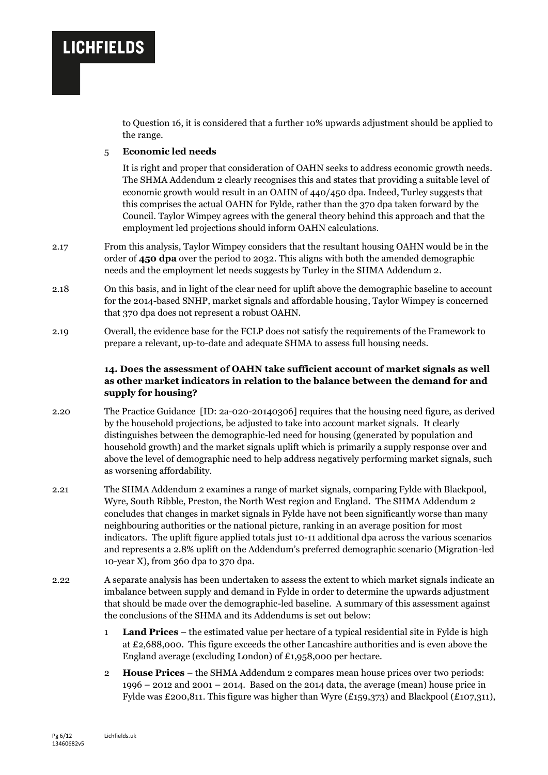to Question 16, it is considered that a further 10% upwards adjustment should be applied to the range.

#### 5 **Economic led needs**

It is right and proper that consideration of OAHN seeks to address economic growth needs. The SHMA Addendum 2 clearly recognises this and states that providing a suitable level of economic growth would result in an OAHN of 440/450 dpa. Indeed, Turley suggests that this comprises the actual OAHN for Fylde, rather than the 370 dpa taken forward by the Council. Taylor Wimpey agrees with the general theory behind this approach and that the employment led projections should inform OAHN calculations.

- 2.17 From this analysis, Taylor Wimpey considers that the resultant housing OAHN would be in the order of **450 dpa** over the period to 2032. This aligns with both the amended demographic needs and the employment let needs suggests by Turley in the SHMA Addendum 2.
- 2.18 On this basis, and in light of the clear need for uplift above the demographic baseline to account for the 2014-based SNHP, market signals and affordable housing, Taylor Wimpey is concerned that 370 dpa does not represent a robust OAHN.
- 2.19 Overall, the evidence base for the FCLP does not satisfy the requirements of the Framework to prepare a relevant, up-to-date and adequate SHMA to assess full housing needs.

### **14. Does the assessment of OAHN take sufficient account of market signals as well as other market indicators in relation to the balance between the demand for and supply for housing?**

- 2.20 The Practice Guidance [ID: 2a-020-20140306] requires that the housing need figure, as derived by the household projections, be adjusted to take into account market signals. It clearly distinguishes between the demographic-led need for housing (generated by population and household growth) and the market signals uplift which is primarily a supply response over and above the level of demographic need to help address negatively performing market signals, such as worsening affordability.
- 2.21 The SHMA Addendum 2 examines a range of market signals, comparing Fylde with Blackpool, Wyre, South Ribble, Preston, the North West region and England. The SHMA Addendum 2 concludes that changes in market signals in Fylde have not been significantly worse than many neighbouring authorities or the national picture, ranking in an average position for most indicators. The uplift figure applied totals just 10-11 additional dpa across the various scenarios and represents a 2.8% uplift on the Addendum's preferred demographic scenario (Migration-led 10-year X), from 360 dpa to 370 dpa.
- 2.22 A separate analysis has been undertaken to assess the extent to which market signals indicate an imbalance between supply and demand in Fylde in order to determine the upwards adjustment that should be made over the demographic-led baseline. A summary of this assessment against the conclusions of the SHMA and its Addendums is set out below:
	- 1 **Land Prices** the estimated value per hectare of a typical residential site in Fylde is high at £2,688,000. This figure exceeds the other Lancashire authorities and is even above the England average (excluding London) of £1,958,000 per hectare.
	- 2 **House Prices** the SHMA Addendum 2 compares mean house prices over two periods: 1996 – 2012 and 2001 – 2014. Based on the 2014 data, the average (mean) house price in Fylde was £200,811. This figure was higher than Wyre (£159,373) and Blackpool (£107,311),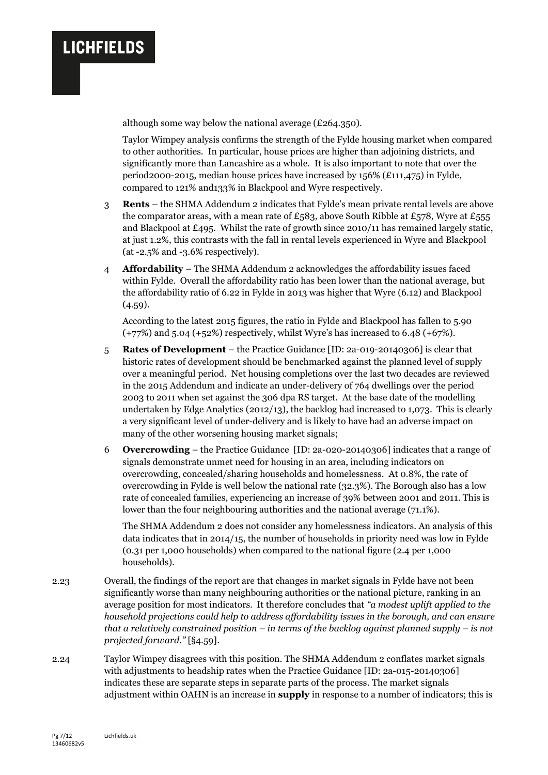

although some way below the national average (£264.350).

Taylor Wimpey analysis confirms the strength of the Fylde housing market when compared to other authorities. In particular, house prices are higher than adjoining districts, and significantly more than Lancashire as a whole. It is also important to note that over the period2000-2015, median house prices have increased by 156% (£111,475) in Fylde, compared to 121% and133% in Blackpool and Wyre respectively.

- 3 **Rents** the SHMA Addendum 2 indicates that Fylde's mean private rental levels are above the comparator areas, with a mean rate of £583, above South Ribble at £578, Wyre at £555 and Blackpool at £495. Whilst the rate of growth since 2010/11 has remained largely static, at just 1.2%, this contrasts with the fall in rental levels experienced in Wyre and Blackpool (at -2.5% and -3.6% respectively).
- 4 **Affordability**  The SHMA Addendum 2 acknowledges the affordability issues faced within Fylde. Overall the affordability ratio has been lower than the national average, but the affordability ratio of 6.22 in Fylde in 2013 was higher that Wyre (6.12) and Blackpool  $(4.59).$

According to the latest 2015 figures, the ratio in Fylde and Blackpool has fallen to 5.90  $(+77%)$  and 5.04  $(+52%)$  respectively, whilst Wyre's has increased to 6.48  $(+67%).$ 

- 5 **Rates of Development** the Practice Guidance [ID: 2a-019-20140306] is clear that historic rates of development should be benchmarked against the planned level of supply over a meaningful period. Net housing completions over the last two decades are reviewed in the 2015 Addendum and indicate an under-delivery of 764 dwellings over the period 2003 to 2011 when set against the 306 dpa RS target. At the base date of the modelling undertaken by Edge Analytics (2012/13), the backlog had increased to 1,073. This is clearly a very significant level of under-delivery and is likely to have had an adverse impact on many of the other worsening housing market signals;
- 6 **Overcrowding**  the Practice Guidance [ID: 2a-020-20140306] indicates that a range of signals demonstrate unmet need for housing in an area, including indicators on overcrowding, concealed/sharing households and homelessness. At 0.8%, the rate of overcrowding in Fylde is well below the national rate (32.3%). The Borough also has a low rate of concealed families, experiencing an increase of 39% between 2001 and 2011. This is lower than the four neighbouring authorities and the national average (71.1%).

The SHMA Addendum 2 does not consider any homelessness indicators. An analysis of this data indicates that in 2014/15, the number of households in priority need was low in Fylde (0.31 per 1,000 households) when compared to the national figure (2.4 per 1,000 households).

- 2.23 Overall, the findings of the report are that changes in market signals in Fylde have not been significantly worse than many neighbouring authorities or the national picture, ranking in an average position for most indicators. It therefore concludes that *"a modest uplift applied to the household projections could help to address affordability issues in the borough, and can ensure that a relatively constrained position – in terms of the backlog against planned supply – is not projected forward."* [§4.59].
- 2.24 Taylor Wimpey disagrees with this position. The SHMA Addendum 2 conflates market signals with adjustments to headship rates when the Practice Guidance [ID: 2a-015-20140306] indicates these are separate steps in separate parts of the process. The market signals adjustment within OAHN is an increase in **supply** in response to a number of indicators; this is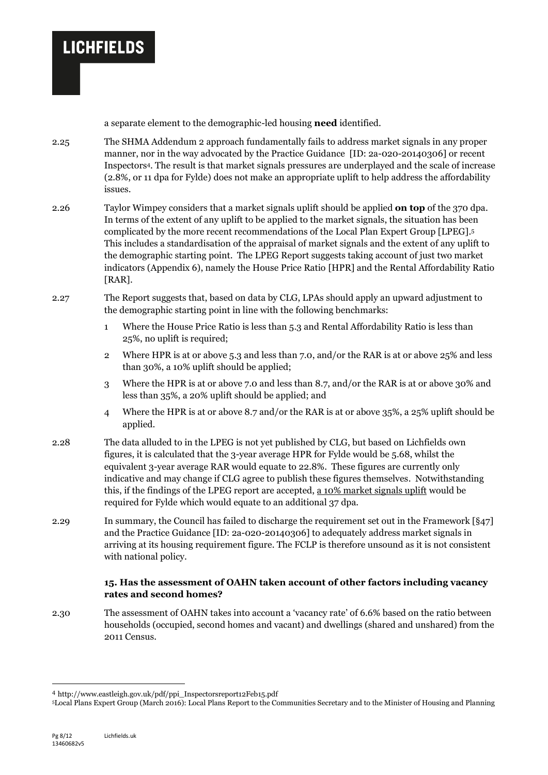

a separate element to the demographic-led housing **need** identified.

- 2.25 The SHMA Addendum 2 approach fundamentally fails to address market signals in any proper manner, nor in the way advocated by the Practice Guidance [ID: 2a-020-20140306] or recent Inspectors4. The result is that market signals pressures are underplayed and the scale of increase (2.8%, or 11 dpa for Fylde) does not make an appropriate uplift to help address the affordability issues.
- 2.26 Taylor Wimpey considers that a market signals uplift should be applied **on top** of the 370 dpa. In terms of the extent of any uplift to be applied to the market signals, the situation has been complicated by the more recent recommendations of the Local Plan Expert Group [LPEG]. 5 This includes a standardisation of the appraisal of market signals and the extent of any uplift to the demographic starting point. The LPEG Report suggests taking account of just two market indicators (Appendix 6), namely the House Price Ratio [HPR] and the Rental Affordability Ratio [RAR].
- 2.27 The Report suggests that, based on data by CLG, LPAs should apply an upward adjustment to the demographic starting point in line with the following benchmarks:
	- 1 Where the House Price Ratio is less than 5.3 and Rental Affordability Ratio is less than 25%, no uplift is required;
	- 2 Where HPR is at or above 5.3 and less than 7.0, and/or the RAR is at or above 25% and less than 30%, a 10% uplift should be applied;
	- 3 Where the HPR is at or above 7.0 and less than 8.7, and/or the RAR is at or above 30% and less than 35%, a 20% uplift should be applied; and
	- 4 Where the HPR is at or above 8.7 and/or the RAR is at or above 35%, a 25% uplift should be applied.
- 2.28 The data alluded to in the LPEG is not yet published by CLG, but based on Lichfields own figures, it is calculated that the 3-year average HPR for Fylde would be 5.68, whilst the equivalent 3-year average RAR would equate to 22.8%. These figures are currently only indicative and may change if CLG agree to publish these figures themselves. Notwithstanding this, if the findings of the LPEG report are accepted, a 10% market signals uplift would be required for Fylde which would equate to an additional 37 dpa.
- 2.29 In summary, the Council has failed to discharge the requirement set out in the Framework [§47] and the Practice Guidance [ID: 2a-020-20140306] to adequately address market signals in arriving at its housing requirement figure. The FCLP is therefore unsound as it is not consistent with national policy.

#### **15. Has the assessment of OAHN taken account of other factors including vacancy rates and second homes?**

2.30 The assessment of OAHN takes into account a 'vacancy rate' of 6.6% based on the ratio between households (occupied, second homes and vacant) and dwellings (shared and unshared) from the 2011 Census.

1

<sup>4</sup> http://www.eastleigh.gov.uk/pdf/ppi\_Inspectorsreport12Feb15.pdf

<sup>5</sup>Local Plans Expert Group (March 2016): Local Plans Report to the Communities Secretary and to the Minister of Housing and Planning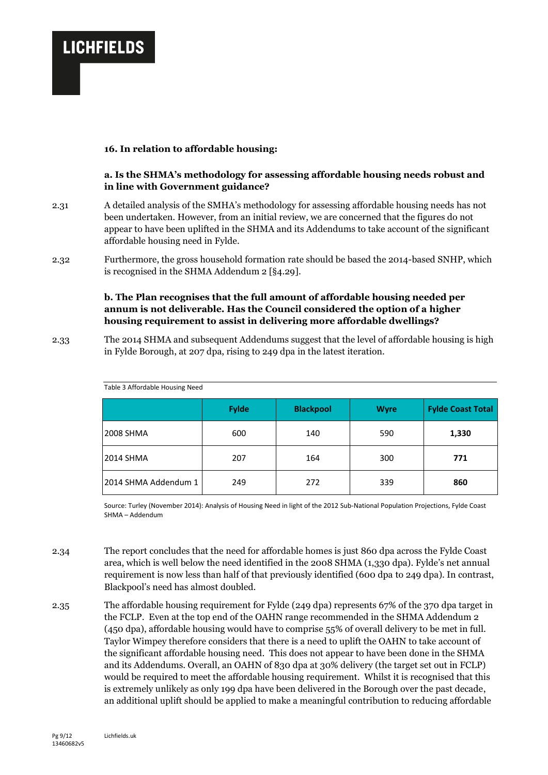#### **16. In relation to affordable housing:**

#### **a. Is the SHMA's methodology for assessing affordable housing needs robust and in line with Government guidance?**

- 2.31 A detailed analysis of the SMHA's methodology for assessing affordable housing needs has not been undertaken. However, from an initial review, we are concerned that the figures do not appear to have been uplifted in the SHMA and its Addendums to take account of the significant affordable housing need in Fylde.
- 2.32 Furthermore, the gross household formation rate should be based the 2014-based SNHP, which is recognised in the SHMA Addendum 2 [§4.29].

### **b. The Plan recognises that the full amount of affordable housing needed per annum is not deliverable. Has the Council considered the option of a higher housing requirement to assist in delivering more affordable dwellings?**

2.33 The 2014 SHMA and subsequent Addendums suggest that the level of affordable housing is high in Fylde Borough, at 207 dpa, rising to 249 dpa in the latest iteration.

|                      | <b>Fylde</b> | <b>Blackpool</b> | <b>Wyre</b> | <b>Fylde Coast Total</b> |
|----------------------|--------------|------------------|-------------|--------------------------|
| <b>2008 SHMA</b>     | 600          | 140              | 590         | 1,330                    |
| <b>2014 SHMA</b>     | 207          | 164              | 300         | 771                      |
| 2014 SHMA Addendum 1 | 249          | 272              | 339         | 860                      |

Table 3 Affordable Housing Need

Source: Turley (November 2014): Analysis of Housing Need in light of the 2012 Sub-National Population Projections, Fylde Coast SHMA – Addendum

- 2.34 The report concludes that the need for affordable homes is just 860 dpa across the Fylde Coast area, which is well below the need identified in the 2008 SHMA (1,330 dpa). Fylde's net annual requirement is now less than half of that previously identified (600 dpa to 249 dpa). In contrast, Blackpool's need has almost doubled.
- 2.35 The affordable housing requirement for Fylde (249 dpa) represents 67% of the 370 dpa target in the FCLP. Even at the top end of the OAHN range recommended in the SHMA Addendum 2 (450 dpa), affordable housing would have to comprise 55% of overall delivery to be met in full. Taylor Wimpey therefore considers that there is a need to uplift the OAHN to take account of the significant affordable housing need. This does not appear to have been done in the SHMA and its Addendums. Overall, an OAHN of 830 dpa at 30% delivery (the target set out in FCLP) would be required to meet the affordable housing requirement. Whilst it is recognised that this is extremely unlikely as only 199 dpa have been delivered in the Borough over the past decade, an additional uplift should be applied to make a meaningful contribution to reducing affordable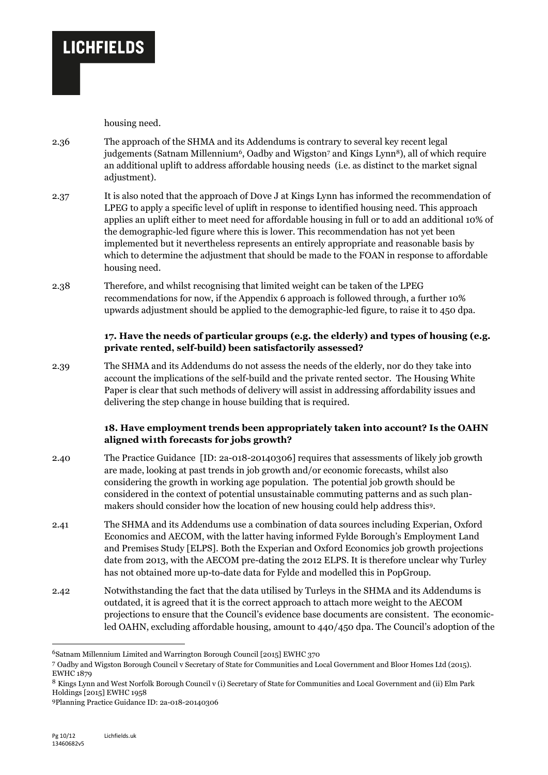housing need.

**LICHFIELDS** 

- 2.36 The approach of the SHMA and its Addendums is contrary to several key recent legal judgements (Satnam Millennium<sup>6</sup>, Oadby and Wigston<sup>7</sup> and Kings Lynn<sup>8</sup>), all of which require an additional uplift to address affordable housing needs (i.e. as distinct to the market signal adjustment).
- 2.37 It is also noted that the approach of D0ve J at Kings Lynn has informed the recommendation of LPEG to apply a specific level of uplift in response to identified housing need. This approach applies an uplift either to meet need for affordable housing in full or to add an additional 10% of the demographic-led figure where this is lower. This recommendation has not yet been implemented but it nevertheless represents an entirely appropriate and reasonable basis by which to determine the adjustment that should be made to the FOAN in response to affordable housing need.
- 2.38 Therefore, and whilst recognising that limited weight can be taken of the LPEG recommendations for now, if the Appendix 6 approach is followed through, a further 10% upwards adjustment should be applied to the demographic-led figure, to raise it to 450 dpa.

## **17. Have the needs of particular groups (e.g. the elderly) and types of housing (e.g. private rented, self-build) been satisfactorily assessed?**

2.39 The SHMA and its Addendums do not assess the needs of the elderly, nor do they take into account the implications of the self-build and the private rented sector. The Housing White Paper is clear that such methods of delivery will assist in addressing affordability issues and delivering the step change in house building that is required.

## **18. Have employment trends been appropriately taken into account? Is the OAHN aligned wi1th forecasts for jobs growth?**

- 2.40 The Practice Guidance [ID: 2a-018-20140306] requires that assessments of likely job growth are made, looking at past trends in job growth and/or economic forecasts, whilst also considering the growth in working age population. The potential job growth should be considered in the context of potential unsustainable commuting patterns and as such planmakers should consider how the location of new housing could help address this9.
- 2.41 The SHMA and its Addendums use a combination of data sources including Experian, Oxford Economics and AECOM, with the latter having informed Fylde Borough's Employment Land and Premises Study [ELPS]. Both the Experian and Oxford Economics job growth projections date from 2013, with the AECOM pre-dating the 2012 ELPS. It is therefore unclear why Turley has not obtained more up-to-date data for Fylde and modelled this in PopGroup.
- 2.42 Notwithstanding the fact that the data utilised by Turleys in the SHMA and its Addendums is outdated, it is agreed that it is the correct approach to attach more weight to the AECOM projections to ensure that the Council's evidence base documents are consistent. The economicled OAHN, excluding affordable housing, amount to 440/450 dpa. The Council's adoption of the

1

<sup>6</sup>Satnam Millennium Limited and Warrington Borough Council [2015] EWHC 370

<sup>7</sup> Oadby and Wigston Borough Council v Secretary of State for Communities and Local Government and Bloor Homes Ltd (2015). EWHC 1879

<sup>8</sup> Kings Lynn and West Norfolk Borough Council v (i) Secretary of State for Communities and Local Government and (ii) Elm Park Holdings [2015] EWHC 1958

<sup>9</sup>Planning Practice Guidance ID: 2a-018-20140306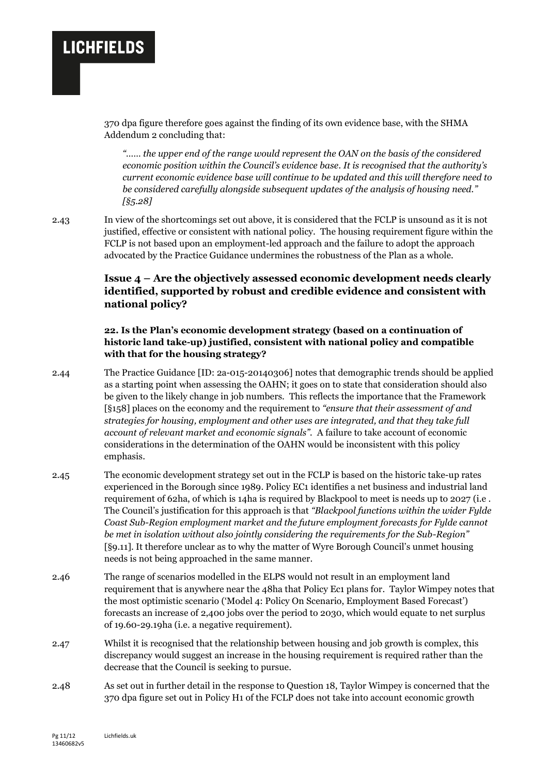370 dpa figure therefore goes against the finding of its own evidence base, with the SHMA Addendum 2 concluding that:

*"…… the upper end of the range would represent the OAN on the basis of the considered economic position within the Council's evidence base. It is recognised that the authority's current economic evidence base will continue to be updated and this will therefore need to be considered carefully alongside subsequent updates of the analysis of housing need." [§5.28]*

2.43 In view of the shortcomings set out above, it is considered that the FCLP is unsound as it is not justified, effective or consistent with national policy. The housing requirement figure within the FCLP is not based upon an employment-led approach and the failure to adopt the approach advocated by the Practice Guidance undermines the robustness of the Plan as a whole.

## **Issue 4 – Are the objectively assessed economic development needs clearly identified, supported by robust and credible evidence and consistent with national policy?**

### **22. Is the Plan's economic development strategy (based on a continuation of historic land take-up) justified, consistent with national policy and compatible with that for the housing strategy?**

- 2.44 The Practice Guidance [ID: 2a-015-20140306] notes that demographic trends should be applied as a starting point when assessing the OAHN; it goes on to state that consideration should also be given to the likely change in job numbers. This reflects the importance that the Framework [§158] places on the economy and the requirement to *"ensure that their assessment of and strategies for housing, employment and other uses are integrated, and that they take full account of relevant market and economic signals".* A failure to take account of economic considerations in the determination of the OAHN would be inconsistent with this policy emphasis.
- 2.45 The economic development strategy set out in the FCLP is based on the historic take-up rates experienced in the Borough since 1989. Policy EC1 identifies a net business and industrial land requirement of 62ha, of which is 14ha is required by Blackpool to meet is needs up to 2027 (i.e . The Council's justification for this approach is that *"Blackpool functions within the wider Fylde Coast Sub-Region employment market and the future employment forecasts for Fylde cannot be met in isolation without also jointly considering the requirements for the Sub-Region"* [§9.11]. It therefore unclear as to why the matter of Wyre Borough Council's unmet housing needs is not being approached in the same manner.
- 2.46 The range of scenarios modelled in the ELPS would not result in an employment land requirement that is anywhere near the 48ha that Policy Ec1 plans for. Taylor Wimpey notes that the most optimistic scenario ('Model 4: Policy On Scenario, Employment Based Forecast') forecasts an increase of 2,400 jobs over the period to 2030, which would equate to net surplus of 19.60-29.19ha (i.e. a negative requirement).
- 2.47 Whilst it is recognised that the relationship between housing and job growth is complex, this discrepancy would suggest an increase in the housing requirement is required rather than the decrease that the Council is seeking to pursue.
- 2.48 As set out in further detail in the response to Question 18, Taylor Wimpey is concerned that the 370 dpa figure set out in Policy H1 of the FCLP does not take into account economic growth